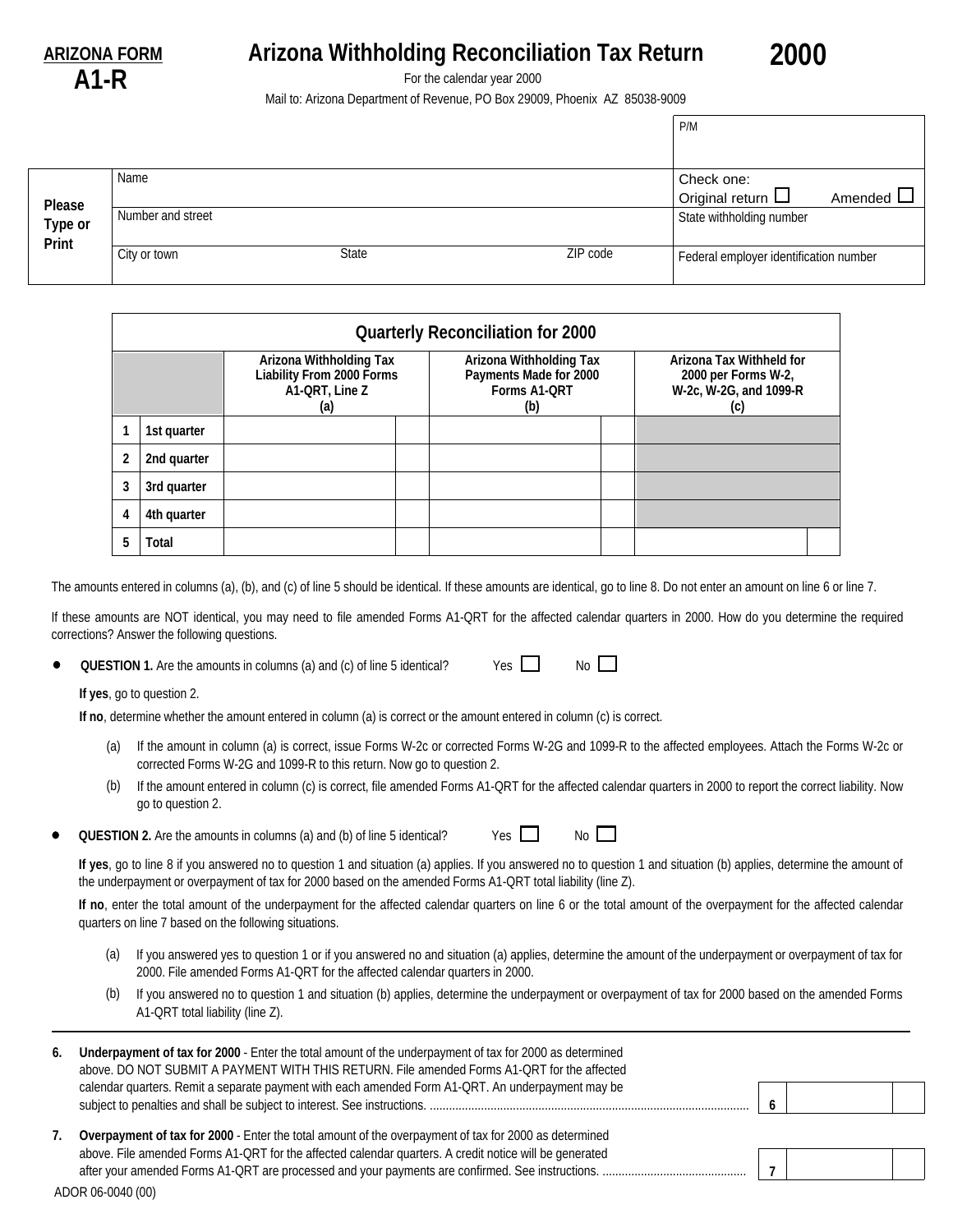**A1-R**

## **ARIZONA FORM Arizona Withholding Reconciliation Tax Return**

**2000**

For the calendar year 2000

Mail to: Arizona Department of Revenue, PO Box 29009, Phoenix AZ 85038-9009

|                  |                   |              |          | P/M                                    |                |
|------------------|-------------------|--------------|----------|----------------------------------------|----------------|
|                  |                   |              |          |                                        |                |
|                  | Name              |              |          | Check one:                             |                |
| Please           |                   |              |          | Original return $\square$              | Amended $\Box$ |
| Type or<br>Print | Number and street |              |          | State withholding number               |                |
|                  | City or town      | <b>State</b> | ZIP code | Federal employer identification number |                |

|                                                                                      | <b>Quarterly Reconciliation for 2000</b> |                                                                          |  |                                                                                  |  |  |  |  |
|--------------------------------------------------------------------------------------|------------------------------------------|--------------------------------------------------------------------------|--|----------------------------------------------------------------------------------|--|--|--|--|
| Arizona Withholding Tax<br><b>Liability From 2000 Forms</b><br>A1-QRT, Line Z<br>(a) |                                          | Arizona Withholding Tax<br>Payments Made for 2000<br>Forms A1-QRT<br>(b) |  | Arizona Tax Withheld for<br>2000 per Forms W-2,<br>W-2c, W-2G, and 1099-R<br>(c) |  |  |  |  |
|                                                                                      | 1st quarter                              |                                                                          |  |                                                                                  |  |  |  |  |
|                                                                                      | 2nd quarter                              |                                                                          |  |                                                                                  |  |  |  |  |
|                                                                                      | 3rd quarter                              |                                                                          |  |                                                                                  |  |  |  |  |
| 4                                                                                    | 4th quarter                              |                                                                          |  |                                                                                  |  |  |  |  |
|                                                                                      | Total                                    |                                                                          |  |                                                                                  |  |  |  |  |

The amounts entered in columns (a), (b), and (c) of line 5 should be identical. If these amounts are identical, go to line 8. Do not enter an amount on line 6 or line 7.

If these amounts are NOT identical, you may need to file amended Forms A1-QRT for the affected calendar quarters in 2000. How do you determine the required corrections? Answer the following questions.

**QUESTION 1.** Are the amounts in columns (a) and (c) of line 5 identical?

**If yes**, go to question 2.

**If no**, determine whether the amount entered in column (a) is correct or the amount entered in column (c) is correct.

- If the amount in column (a) is correct, issue Forms W-2c or corrected Forms W-2G and 1099-R to the affected employees. Attach the Forms W-2c or corrected Forms W-2G and 1099-R to this return. Now go to question 2. (a)
- (b) If the amount entered in column (c) is correct, file amended Forms A1-QRT for the affected calendar quarters in 2000 to report the correct liability. Now go to question 2.

 $Yes \t No \t N$ 

 $Yes \t No \t N$ 

**QUESTION 2.** Are the amounts in columns (a) and (b) of line 5 identical?

**If yes**, go to line 8 if you answered no to question 1 and situation (a) applies. If you answered no to question 1 and situation (b) applies, determine the amount of the underpayment or overpayment of tax for 2000 based on the amended Forms A1-QRT total liability (line Z).

**If no**, enter the total amount of the underpayment for the affected calendar quarters on line 6 or the total amount of the overpayment for the affected calendar quarters on line 7 based on the following situations.

- (a) If you answered yes to question 1 or if you answered no and situation (a) applies, determine the amount of the underpayment or overpayment of tax for 2000. File amended Forms A1-QRT for the affected calendar quarters in 2000.
- (b) If you answered no to question 1 and situation (b) applies, determine the underpayment or overpayment of tax for 2000 based on the amended Forms A1-QRT total liability (line Z).

| 6. | Underpayment of tax for 2000 - Enter the total amount of the underpayment of tax for 2000 as determined<br>above. DO NOT SUBMIT A PAYMENT WITH THIS RETURN. File amended Forms A1-QRT for the affected |  |  |
|----|--------------------------------------------------------------------------------------------------------------------------------------------------------------------------------------------------------|--|--|
|    | calendar quarters. Remit a separate payment with each amended Form A1-QRT. An underpayment may be                                                                                                      |  |  |
| 7. | Overpayment of tax for 2000 - Enter the total amount of the overpayment of tax for 2000 as determined                                                                                                  |  |  |
|    | above. File amended Forms A1-QRT for the affected calendar quarters. A credit notice will be generated                                                                                                 |  |  |

ADOR 06-0040 (00)